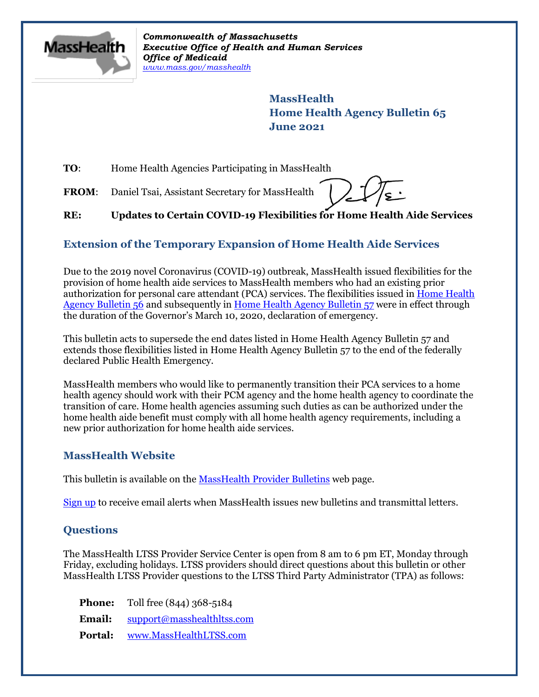

*Commonwealth of Massachusetts Executive Office of Health and Human Services Office of Medicaid [www.mass.gov/masshealth](http://www.mass.gov/masshealth)*

> **MassHealth Home Health Agency Bulletin 65 June 2021**

**TO:** Home Health Agencies Participating in MassHealth

FROM: Daniel Tsai, Assistant Secretary for MassHealth

**RE: Updates to Certain COVID-19 Flexibilities for Home Health Aide Services**

## **Extension of the Temporary Expansion of Home Health Aide Services**

Due to the 2019 novel Coronavirus (COVID-19) outbreak, MassHealth issued flexibilities for the provision of home health aide services to MassHealth members who had an existing prior authorization for personal care attendant (PCA) services. The flexibilities issued i[n Home Health](https://www.mass.gov/lists/masshealth-provider-bulletins-by-provider-type-d-h#home-health-agency-)  [Agency Bulletin 56](https://www.mass.gov/lists/masshealth-provider-bulletins-by-provider-type-d-h#home-health-agency-) and subsequently in [Home Health Agency Bulletin 57](https://www.mass.gov/lists/masshealth-provider-bulletins-by-provider-type-d-h#home-health-agency-) were in effect through the duration of the Governor's March 10, 2020, declaration of emergency.

This bulletin acts to supersede the end dates listed in Home Health Agency Bulletin 57 and extends those flexibilities listed in Home Health Agency Bulletin 57 to the end of the federally declared Public Health Emergency.

MassHealth members who would like to permanently transition their PCA services to a home health agency should work with their PCM agency and the home health agency to coordinate the transition of care. Home health agencies assuming such duties as can be authorized under the home health aide benefit must comply with all home health agency requirements, including a new prior authorization for home health aide services.

## **MassHealth Website**

This bulletin is available on th[e MassHealth Provider Bulletins](http://www.mass.gov/masshealth-provider-bulletins) web page.

[Sign up](https://www.mass.gov/forms/email-notifications-for-masshealth-provider-bulletins-and-transmittal-letters) to receive email alerts when MassHealth issues new bulletins and transmittal letters.

## **Questions**

The MassHealth LTSS Provider Service Center is open from 8 am to 6 pm ET, Monday through Friday, excluding holidays. LTSS providers should direct questions about this bulletin or other MassHealth LTSS Provider questions to the LTSS Third Party Administrator (TPA) as follows:

**Phone:** Toll free (844) 368-5184 **Email:** [support@masshealthltss.com](mailto:support@masshealthltss.com) **Portal:** [www.MassHealthLTSS.com](http://www.masshealthltss.com/)